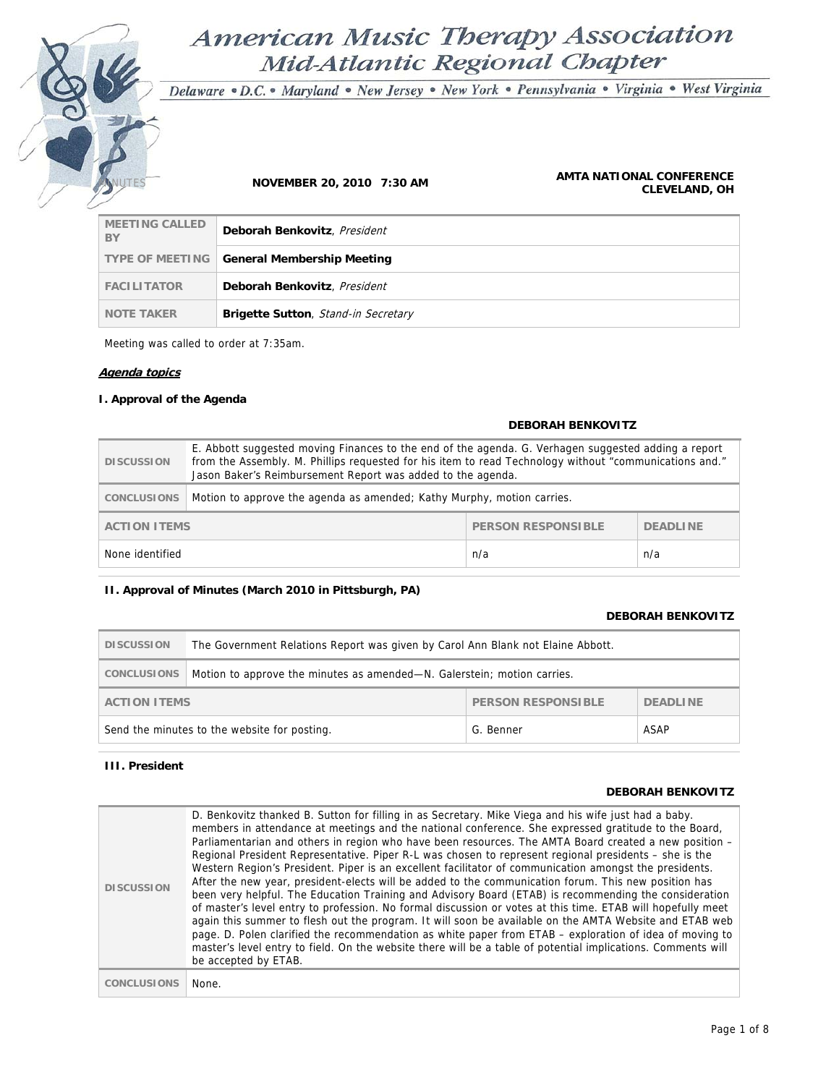# American Music Therapy Association Mid-Atlantic Regional Chapter

Delaware · D.C. · Maryland · New Jersey · New York · Pennsylvania · Virginia · West Virginia

### **NOVEMBER 20, 2010 7:30 AM <b>AMTA NATIONAL CONFERENCE**<br>AMTA NATIONAL CONFERENCE **CLEVELAND, OH**

| <b>MEETING CALLED</b><br>BY | Deborah Benkovitz, President                 |
|-----------------------------|----------------------------------------------|
|                             | TYPE OF MEETING   General Membership Meeting |
| <b>FACILITATOR</b>          | Deborah Benkovitz, President                 |
| <b>NOTE TAKER</b>           | <b>Brigette Sutton, Stand-in Secretary</b>   |

Meeting was called to order at 7:35am.

## **Agenda topics**

## **I. Approval of the Agenda**

## **DEBORAH BENKOVITZ DISCUSSION**  E. Abbott suggested moving Finances to the end of the agenda. G. Verhagen suggested adding a report from the Assembly. M. Phillips requested for his item to read Technology without "communications and." Jason Baker's Reimbursement Report was added to the agenda. **CONCLUSIONS** Motion to approve the agenda as amended; Kathy Murphy, motion carries. **ACTION ITEMS** PERSON RESPONSIBLE **DEADLINE** None identified n/a n/a

## **II. Approval of Minutes (March 2010 in Pittsburgh, PA)**

## **DEBORAH BENKOVITZ**

| <b>DISCUSSION</b>                                                 | The Government Relations Report was given by Carol Ann Blank not Elaine Abbott. |  |  |
|-------------------------------------------------------------------|---------------------------------------------------------------------------------|--|--|
| CONCLUSIONS                                                       | Motion to approve the minutes as amended—N. Galerstein; motion carries.         |  |  |
| PERSON RESPONSIBLE<br><b>ACTION ITEMS</b><br><b>DEADLINE</b>      |                                                                                 |  |  |
| ASAP<br>Send the minutes to the website for posting.<br>G. Benner |                                                                                 |  |  |

## **III. President**

## **DEBORAH BENKOVITZ**

| <b>DISCUSSION</b>  | D. Benkovitz thanked B. Sutton for filling in as Secretary. Mike Viega and his wife just had a baby.<br>members in attendance at meetings and the national conference. She expressed gratitude to the Board,<br>Parliamentarian and others in region who have been resources. The AMTA Board created a new position -<br>Regional President Representative. Piper R-L was chosen to represent regional presidents – she is the<br>Western Region's President. Piper is an excellent facilitator of communication amongst the presidents.<br>After the new year, president-elects will be added to the communication forum. This new position has<br>been very helpful. The Education Training and Advisory Board (ETAB) is recommending the consideration<br>of master's level entry to profession. No formal discussion or votes at this time. ETAB will hopefully meet<br>again this summer to flesh out the program. It will soon be available on the AMTA Website and ETAB web<br>page. D. Polen clarified the recommendation as white paper from ETAB - exploration of idea of moving to<br>master's level entry to field. On the website there will be a table of potential implications. Comments will<br>be accepted by ETAB. |
|--------------------|---------------------------------------------------------------------------------------------------------------------------------------------------------------------------------------------------------------------------------------------------------------------------------------------------------------------------------------------------------------------------------------------------------------------------------------------------------------------------------------------------------------------------------------------------------------------------------------------------------------------------------------------------------------------------------------------------------------------------------------------------------------------------------------------------------------------------------------------------------------------------------------------------------------------------------------------------------------------------------------------------------------------------------------------------------------------------------------------------------------------------------------------------------------------------------------------------------------------------------------|
| <b>CONCLUSIONS</b> | None.                                                                                                                                                                                                                                                                                                                                                                                                                                                                                                                                                                                                                                                                                                                                                                                                                                                                                                                                                                                                                                                                                                                                                                                                                                 |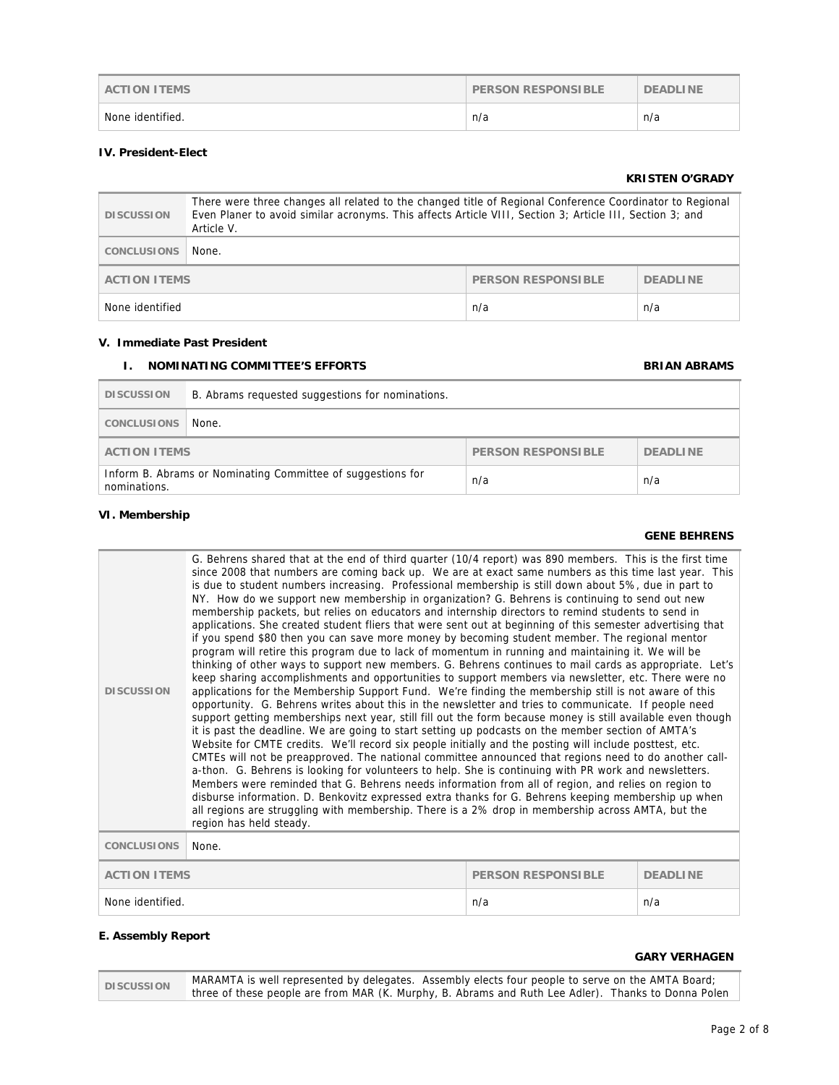| <b>ACTION ITEMS</b> | <b>PERSON RESPONSIBLE</b> | <b>DEADLINE</b> |
|---------------------|---------------------------|-----------------|
| None identified.    | n/a                       | n/a             |

## **IV. President-Elect**

## **KRISTEN O'GRADY**

| <b>DISCUSSION</b>             | There were three changes all related to the changed title of Regional Conference Coordinator to Regional<br>Even Planer to avoid similar acronyms. This affects Article VIII, Section 3; Article III, Section 3; and<br>Article V. |  |  |
|-------------------------------|------------------------------------------------------------------------------------------------------------------------------------------------------------------------------------------------------------------------------------|--|--|
| CONCLUSIONS                   | None.                                                                                                                                                                                                                              |  |  |
|                               | PERSON RESPONSIBLE<br><b>ACTION ITEMS</b><br><b>DEADLINE</b>                                                                                                                                                                       |  |  |
| None identified<br>n/a<br>n/a |                                                                                                                                                                                                                                    |  |  |

## **V. Immediate Past President**

## **I. NOMINATING COMMITTEE'S EFFORTS BRIAN ABRAMS**

| <b>DISCUSSION</b>                                                                         | B. Abrams requested suggestions for nominations.             |  |  |
|-------------------------------------------------------------------------------------------|--------------------------------------------------------------|--|--|
| <b>CONCLUSIONS</b>                                                                        | None.                                                        |  |  |
|                                                                                           | PERSON RESPONSIBLE<br><b>DEADLINE</b><br><b>ACTION ITEMS</b> |  |  |
| Inform B. Abrams or Nominating Committee of suggestions for<br>n/a<br>n/a<br>nominations. |                                                              |  |  |

## **VI. Membership**

## **GENE BEHRENS**

| <b>DISCUSSION</b>                                                   | G. Behrens shared that at the end of third quarter (10/4 report) was 890 members. This is the first time<br>since 2008 that numbers are coming back up. We are at exact same numbers as this time last year. This<br>is due to student numbers increasing. Professional membership is still down about 5%, due in part to<br>NY. How do we support new membership in organization? G. Behrens is continuing to send out new<br>membership packets, but relies on educators and internship directors to remind students to send in<br>applications. She created student fliers that were sent out at beginning of this semester advertising that<br>if you spend \$80 then you can save more money by becoming student member. The regional mentor<br>program will retire this program due to lack of momentum in running and maintaining it. We will be<br>thinking of other ways to support new members. G. Behrens continues to mail cards as appropriate. Let's<br>keep sharing accomplishments and opportunities to support members via newsletter, etc. There were no<br>applications for the Membership Support Fund. We're finding the membership still is not aware of this<br>opportunity. G. Behrens writes about this in the newsletter and tries to communicate. If people need<br>support getting memberships next year, still fill out the form because money is still available even though<br>it is past the deadline. We are going to start setting up podcasts on the member section of AMTA's<br>Website for CMTE credits. We'll record six people initially and the posting will include posttest, etc.<br>CMTEs will not be preapproved. The national committee announced that regions need to do another call-<br>a-thon. G. Behrens is looking for volunteers to help. She is continuing with PR work and newsletters.<br>Members were reminded that G. Behrens needs information from all of region, and relies on region to<br>disburse information. D. Benkovitz expressed extra thanks for G. Behrens keeping membership up when<br>all regions are struggling with membership. There is a 2% drop in membership across AMTA, but the<br>region has held steady. |  |  |  |
|---------------------------------------------------------------------|---------------------------------------------------------------------------------------------------------------------------------------------------------------------------------------------------------------------------------------------------------------------------------------------------------------------------------------------------------------------------------------------------------------------------------------------------------------------------------------------------------------------------------------------------------------------------------------------------------------------------------------------------------------------------------------------------------------------------------------------------------------------------------------------------------------------------------------------------------------------------------------------------------------------------------------------------------------------------------------------------------------------------------------------------------------------------------------------------------------------------------------------------------------------------------------------------------------------------------------------------------------------------------------------------------------------------------------------------------------------------------------------------------------------------------------------------------------------------------------------------------------------------------------------------------------------------------------------------------------------------------------------------------------------------------------------------------------------------------------------------------------------------------------------------------------------------------------------------------------------------------------------------------------------------------------------------------------------------------------------------------------------------------------------------------------------------------------------------------------------------------------------------------------------------------------------|--|--|--|
| <b>CONCLUSIONS</b>                                                  | None.                                                                                                                                                                                                                                                                                                                                                                                                                                                                                                                                                                                                                                                                                                                                                                                                                                                                                                                                                                                                                                                                                                                                                                                                                                                                                                                                                                                                                                                                                                                                                                                                                                                                                                                                                                                                                                                                                                                                                                                                                                                                                                                                                                                       |  |  |  |
| <b>ACTION ITEMS</b><br><b>PERSON RESPONSIBLE</b><br><b>DEADLINE</b> |                                                                                                                                                                                                                                                                                                                                                                                                                                                                                                                                                                                                                                                                                                                                                                                                                                                                                                                                                                                                                                                                                                                                                                                                                                                                                                                                                                                                                                                                                                                                                                                                                                                                                                                                                                                                                                                                                                                                                                                                                                                                                                                                                                                             |  |  |  |
|                                                                     | n/a<br>None identified.<br>n/a                                                                                                                                                                                                                                                                                                                                                                                                                                                                                                                                                                                                                                                                                                                                                                                                                                                                                                                                                                                                                                                                                                                                                                                                                                                                                                                                                                                                                                                                                                                                                                                                                                                                                                                                                                                                                                                                                                                                                                                                                                                                                                                                                              |  |  |  |

## **E. Assembly Report**

## **GARY VERHAGEN**

| <b>DISCUSSION</b> | MARAMTA is well represented by delegates. Assembly elects four people to serve on the AMTA Board;   |  |
|-------------------|-----------------------------------------------------------------------------------------------------|--|
|                   | three of these people are from MAR (K. Murphy, B. Abrams and Ruth Lee Adler). Thanks to Donna Polen |  |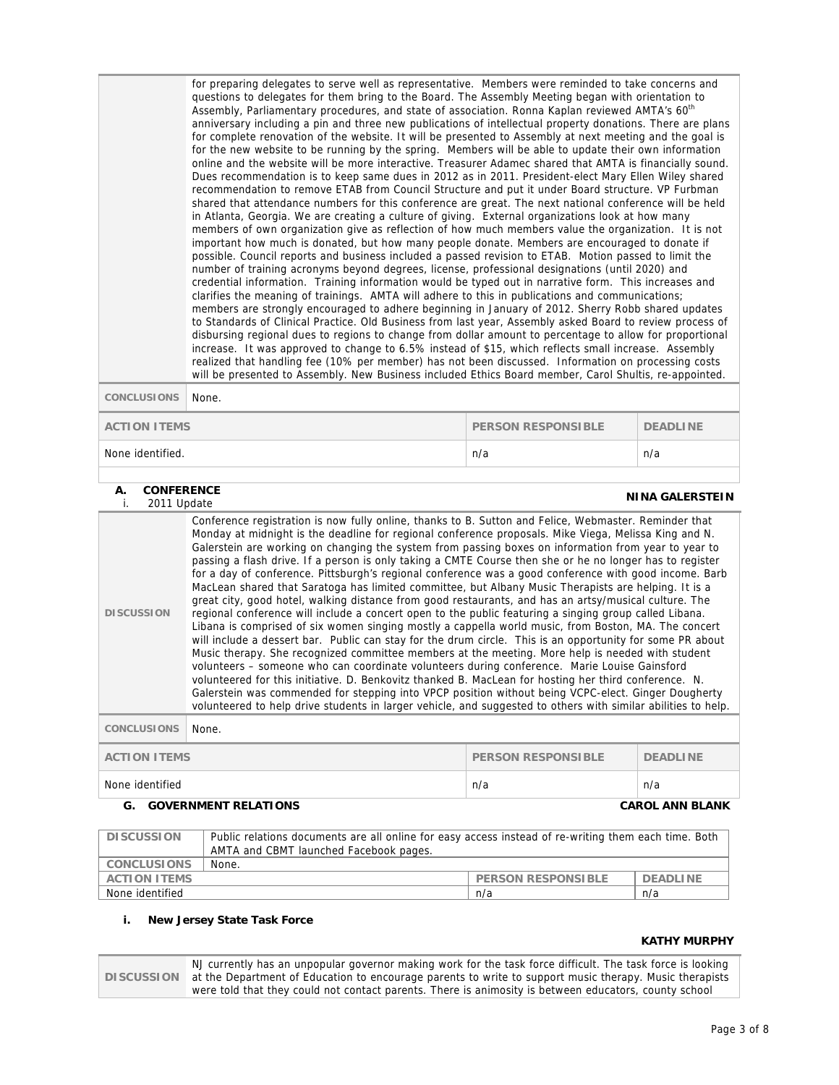|                     | for preparing delegates to serve well as representative. Members were reminded to take concerns and<br>questions to delegates for them bring to the Board. The Assembly Meeting began with orientation to<br>Assembly, Parliamentary procedures, and state of association. Ronna Kaplan reviewed AMTA's 60 <sup>th</sup><br>anniversary including a pin and three new publications of intellectual property donations. There are plans<br>for complete renovation of the website. It will be presented to Assembly at next meeting and the goal is<br>for the new website to be running by the spring. Members will be able to update their own information<br>online and the website will be more interactive. Treasurer Adamec shared that AMTA is financially sound.<br>Dues recommendation is to keep same dues in 2012 as in 2011. President-elect Mary Ellen Wiley shared<br>recommendation to remove ETAB from Council Structure and put it under Board structure. VP Furbman<br>shared that attendance numbers for this conference are great. The next national conference will be held<br>in Atlanta, Georgia. We are creating a culture of giving. External organizations look at how many<br>members of own organization give as reflection of how much members value the organization. It is not<br>important how much is donated, but how many people donate. Members are encouraged to donate if<br>possible. Council reports and business included a passed revision to ETAB. Motion passed to limit the<br>number of training acronyms beyond degrees, license, professional designations (until 2020) and<br>credential information. Training information would be typed out in narrative form. This increases and<br>clarifies the meaning of trainings. AMTA will adhere to this in publications and communications;<br>members are strongly encouraged to adhere beginning in January of 2012. Sherry Robb shared updates<br>to Standards of Clinical Practice. Old Business from last year, Assembly asked Board to review process of<br>disbursing regional dues to regions to change from dollar amount to percentage to allow for proportional<br>increase. It was approved to change to 6.5% instead of \$15, which reflects small increase. Assembly<br>realized that handling fee (10% per member) has not been discussed. Information on processing costs<br>will be presented to Assembly. New Business included Ethics Board member, Carol Shultis, re-appointed.<br>None. |  |  |  |
|---------------------|----------------------------------------------------------------------------------------------------------------------------------------------------------------------------------------------------------------------------------------------------------------------------------------------------------------------------------------------------------------------------------------------------------------------------------------------------------------------------------------------------------------------------------------------------------------------------------------------------------------------------------------------------------------------------------------------------------------------------------------------------------------------------------------------------------------------------------------------------------------------------------------------------------------------------------------------------------------------------------------------------------------------------------------------------------------------------------------------------------------------------------------------------------------------------------------------------------------------------------------------------------------------------------------------------------------------------------------------------------------------------------------------------------------------------------------------------------------------------------------------------------------------------------------------------------------------------------------------------------------------------------------------------------------------------------------------------------------------------------------------------------------------------------------------------------------------------------------------------------------------------------------------------------------------------------------------------------------------------------------------------------------------------------------------------------------------------------------------------------------------------------------------------------------------------------------------------------------------------------------------------------------------------------------------------------------------------------------------------------------------------------------------------------------------------------------------------------------------------------------------------------|--|--|--|
| <b>CONCLUSIONS</b>  |                                                                                                                                                                                                                                                                                                                                                                                                                                                                                                                                                                                                                                                                                                                                                                                                                                                                                                                                                                                                                                                                                                                                                                                                                                                                                                                                                                                                                                                                                                                                                                                                                                                                                                                                                                                                                                                                                                                                                                                                                                                                                                                                                                                                                                                                                                                                                                                                                                                                                                          |  |  |  |
| <b>ACTION ITEMS</b> | <b>PERSON RESPONSIBLE</b><br><b>DEADLINE</b>                                                                                                                                                                                                                                                                                                                                                                                                                                                                                                                                                                                                                                                                                                                                                                                                                                                                                                                                                                                                                                                                                                                                                                                                                                                                                                                                                                                                                                                                                                                                                                                                                                                                                                                                                                                                                                                                                                                                                                                                                                                                                                                                                                                                                                                                                                                                                                                                                                                             |  |  |  |
| None identified.    | n/a<br>n/a                                                                                                                                                                                                                                                                                                                                                                                                                                                                                                                                                                                                                                                                                                                                                                                                                                                                                                                                                                                                                                                                                                                                                                                                                                                                                                                                                                                                                                                                                                                                                                                                                                                                                                                                                                                                                                                                                                                                                                                                                                                                                                                                                                                                                                                                                                                                                                                                                                                                                               |  |  |  |
|                     |                                                                                                                                                                                                                                                                                                                                                                                                                                                                                                                                                                                                                                                                                                                                                                                                                                                                                                                                                                                                                                                                                                                                                                                                                                                                                                                                                                                                                                                                                                                                                                                                                                                                                                                                                                                                                                                                                                                                                                                                                                                                                                                                                                                                                                                                                                                                                                                                                                                                                                          |  |  |  |

## **A. CONFERENCE**

| <b>NINA GALERSTEIN</b><br>i.<br>2011 Update                         |                                                                                                                                                                                                                                                                                                                                                                                                                                                                                                                                                                                                                                                                                                                                                                                                                                                                                                                                                                                                                                                                                                                                                                                                                                                                                                                                                                                                                                                                                                                                                                                                                                   |  |  |
|---------------------------------------------------------------------|-----------------------------------------------------------------------------------------------------------------------------------------------------------------------------------------------------------------------------------------------------------------------------------------------------------------------------------------------------------------------------------------------------------------------------------------------------------------------------------------------------------------------------------------------------------------------------------------------------------------------------------------------------------------------------------------------------------------------------------------------------------------------------------------------------------------------------------------------------------------------------------------------------------------------------------------------------------------------------------------------------------------------------------------------------------------------------------------------------------------------------------------------------------------------------------------------------------------------------------------------------------------------------------------------------------------------------------------------------------------------------------------------------------------------------------------------------------------------------------------------------------------------------------------------------------------------------------------------------------------------------------|--|--|
| <b>DISCUSSION</b>                                                   | Conference registration is now fully online, thanks to B. Sutton and Felice, Webmaster. Reminder that<br>Monday at midnight is the deadline for regional conference proposals. Mike Viega, Melissa King and N.<br>Galerstein are working on changing the system from passing boxes on information from year to year to<br>passing a flash drive. If a person is only taking a CMTE Course then she or he no longer has to register<br>for a day of conference. Pittsburgh's regional conference was a good conference with good income. Barb<br>MacLean shared that Saratoga has limited committee, but Albany Music Therapists are helping. It is a<br>great city, good hotel, walking distance from good restaurants, and has an artsy/musical culture. The<br>regional conference will include a concert open to the public featuring a singing group called Libana.<br>Libana is comprised of six women singing mostly a cappella world music, from Boston, MA. The concert<br>will include a dessert bar. Public can stay for the drum circle. This is an opportunity for some PR about<br>Music therapy. She recognized committee members at the meeting. More help is needed with student<br>volunteers - someone who can coordinate volunteers during conference. Marie Louise Gainsford<br>volunteered for this initiative. D. Benkovitz thanked B. MacLean for hosting her third conference. N.<br>Galerstein was commended for stepping into VPCP position without being VCPC-elect. Ginger Dougherty<br>volunteered to help drive students in larger vehicle, and suggested to others with similar abilities to help. |  |  |
| <b>CONCLUSIONS</b><br>None.                                         |                                                                                                                                                                                                                                                                                                                                                                                                                                                                                                                                                                                                                                                                                                                                                                                                                                                                                                                                                                                                                                                                                                                                                                                                                                                                                                                                                                                                                                                                                                                                                                                                                                   |  |  |
| <b>ACTION ITEMS</b><br><b>PERSON RESPONSIBLE</b><br><b>DEADLINE</b> |                                                                                                                                                                                                                                                                                                                                                                                                                                                                                                                                                                                                                                                                                                                                                                                                                                                                                                                                                                                                                                                                                                                                                                                                                                                                                                                                                                                                                                                                                                                                                                                                                                   |  |  |
| None identified<br>n/a<br>n/a                                       |                                                                                                                                                                                                                                                                                                                                                                                                                                                                                                                                                                                                                                                                                                                                                                                                                                                                                                                                                                                                                                                                                                                                                                                                                                                                                                                                                                                                                                                                                                                                                                                                                                   |  |  |
| <b>CAROL ANN BLANK</b><br>G.<br><b>GOVERNMENT RELATIONS</b>         |                                                                                                                                                                                                                                                                                                                                                                                                                                                                                                                                                                                                                                                                                                                                                                                                                                                                                                                                                                                                                                                                                                                                                                                                                                                                                                                                                                                                                                                                                                                                                                                                                                   |  |  |

## **DISCUSSION** Public relations documents are all online for easy access instead of re-writing them each time. Both AMTA and CBMT launched Facebook pages. **CONCLUSIONS** None. **ACTION ITEMS** PERSON RESPONSIBLE DEADLINE None identified  $n/a$  n/a n/a

## **i. New Jersey State Task Force**

## **KATHY MURPHY**

**DISCUSSION**  at the Department of Education to encourage parents to write to support music therapy. Music therapists NJ currently has an unpopular governor making work for the task force difficult. The task force is looking were told that they could not contact parents. There is animosity is between educators, county school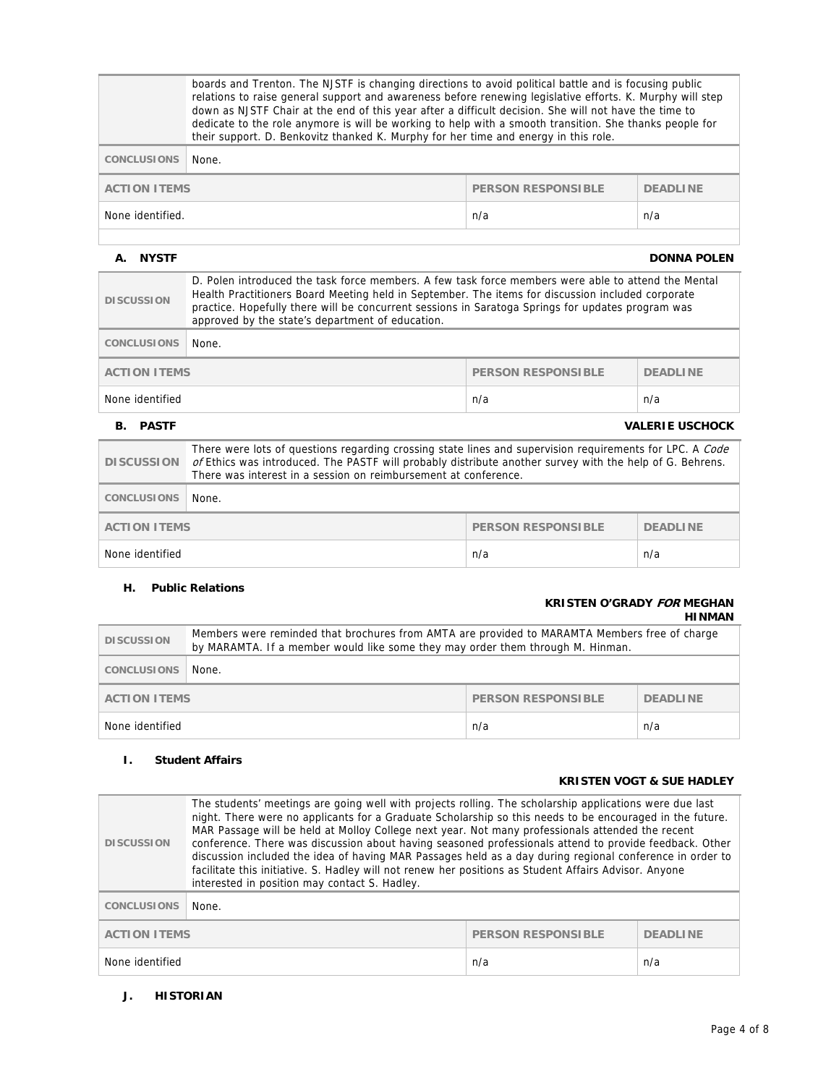|                                | boards and Trenton. The NJSTF is changing directions to avoid political battle and is focusing public<br>relations to raise general support and awareness before renewing legislative efforts. K. Murphy will step<br>down as NJSTF Chair at the end of this year after a difficult decision. She will not have the time to<br>dedicate to the role anymore is will be working to help with a smooth transition. She thanks people for<br>their support. D. Benkovitz thanked K. Murphy for her time and energy in this role. |  |  |  |
|--------------------------------|-------------------------------------------------------------------------------------------------------------------------------------------------------------------------------------------------------------------------------------------------------------------------------------------------------------------------------------------------------------------------------------------------------------------------------------------------------------------------------------------------------------------------------|--|--|--|
| <b>CONCLUSIONS</b>             | None.                                                                                                                                                                                                                                                                                                                                                                                                                                                                                                                         |  |  |  |
|                                | <b>ACTION ITEMS</b><br><b>PERSON RESPONSIBLE</b><br><b>DEADLINE</b>                                                                                                                                                                                                                                                                                                                                                                                                                                                           |  |  |  |
| None identified.<br>n/a<br>n/a |                                                                                                                                                                                                                                                                                                                                                                                                                                                                                                                               |  |  |  |
|                                |                                                                                                                                                                                                                                                                                                                                                                                                                                                                                                                               |  |  |  |

## **A.** NYSTF DONNA POLEN

| <b>DISCUSSION</b>                            | D. Polen introduced the task force members. A few task force members were able to attend the Mental<br>Health Practitioners Board Meeting held in September. The items for discussion included corporate<br>practice. Hopefully there will be concurrent sessions in Saratoga Springs for updates program was<br>approved by the state's department of education. |  |  |
|----------------------------------------------|-------------------------------------------------------------------------------------------------------------------------------------------------------------------------------------------------------------------------------------------------------------------------------------------------------------------------------------------------------------------|--|--|
| <b>CONCLUSIONS</b>                           | None.                                                                                                                                                                                                                                                                                                                                                             |  |  |
|                                              | <b>ACTION ITEMS</b><br><b>PERSON RESPONSIBLE</b><br><b>DEADLINE</b>                                                                                                                                                                                                                                                                                               |  |  |
| None identified                              | n/a<br>n/a                                                                                                                                                                                                                                                                                                                                                        |  |  |
| <b>PASTE</b><br><b>VALERIE USCHOCK</b><br>В. |                                                                                                                                                                                                                                                                                                                                                                   |  |  |
| <b>DISCUSSION</b>                            | There were lots of questions regarding crossing state lines and supervision requirements for LPC. A Code<br>of Ethics was introduced. The PASTF will probably distribute another survey with the help of G. Behrens.<br>There was interest in a session on reimbursement at conference.                                                                           |  |  |
| <b>CONCLUSIONS</b><br>None.                  |                                                                                                                                                                                                                                                                                                                                                                   |  |  |

**ACTION ITEMS** PERSON RESPONSIBLE DEADLINE

None identified n/a n/a

## **H. Public Relations**

## **KRISTEN O'GRADY FOR MEGHAN HINMAN**

| <b>DISCUSSION</b>                                                   | Members were reminded that brochures from AMTA are provided to MARAMTA Members free of charge<br>by MARAMTA. If a member would like some they may order them through M. Hinman. |     |     |
|---------------------------------------------------------------------|---------------------------------------------------------------------------------------------------------------------------------------------------------------------------------|-----|-----|
| <b>CONCLUSIONS</b>                                                  | None.                                                                                                                                                                           |     |     |
| <b>PERSON RESPONSIBLE</b><br><b>ACTION ITEMS</b><br><b>DEADLINE</b> |                                                                                                                                                                                 |     |     |
| None identified                                                     |                                                                                                                                                                                 | n/a | n/a |

## **I. Student Affairs**

## **KRISTEN VOGT & SUE HADLEY**

| <b>DISCUSSION</b>                                                   | The students' meetings are going well with projects rolling. The scholarship applications were due last<br>night. There were no applicants for a Graduate Scholarship so this needs to be encouraged in the future.<br>MAR Passage will be held at Molloy College next year. Not many professionals attended the recent<br>conference. There was discussion about having seasoned professionals attend to provide feedback. Other<br>discussion included the idea of having MAR Passages held as a day during regional conference in order to<br>facilitate this initiative. S. Hadley will not renew her positions as Student Affairs Advisor. Anyone<br>interested in position may contact S. Hadley. |     |     |
|---------------------------------------------------------------------|---------------------------------------------------------------------------------------------------------------------------------------------------------------------------------------------------------------------------------------------------------------------------------------------------------------------------------------------------------------------------------------------------------------------------------------------------------------------------------------------------------------------------------------------------------------------------------------------------------------------------------------------------------------------------------------------------------|-----|-----|
| <b>CONCLUSIONS</b>                                                  | None.                                                                                                                                                                                                                                                                                                                                                                                                                                                                                                                                                                                                                                                                                                   |     |     |
| <b>ACTION ITEMS</b><br><b>PERSON RESPONSIBLE</b><br><b>DEADLINE</b> |                                                                                                                                                                                                                                                                                                                                                                                                                                                                                                                                                                                                                                                                                                         |     |     |
| None identified                                                     |                                                                                                                                                                                                                                                                                                                                                                                                                                                                                                                                                                                                                                                                                                         | n/a | n/a |

**J. HISTORIAN**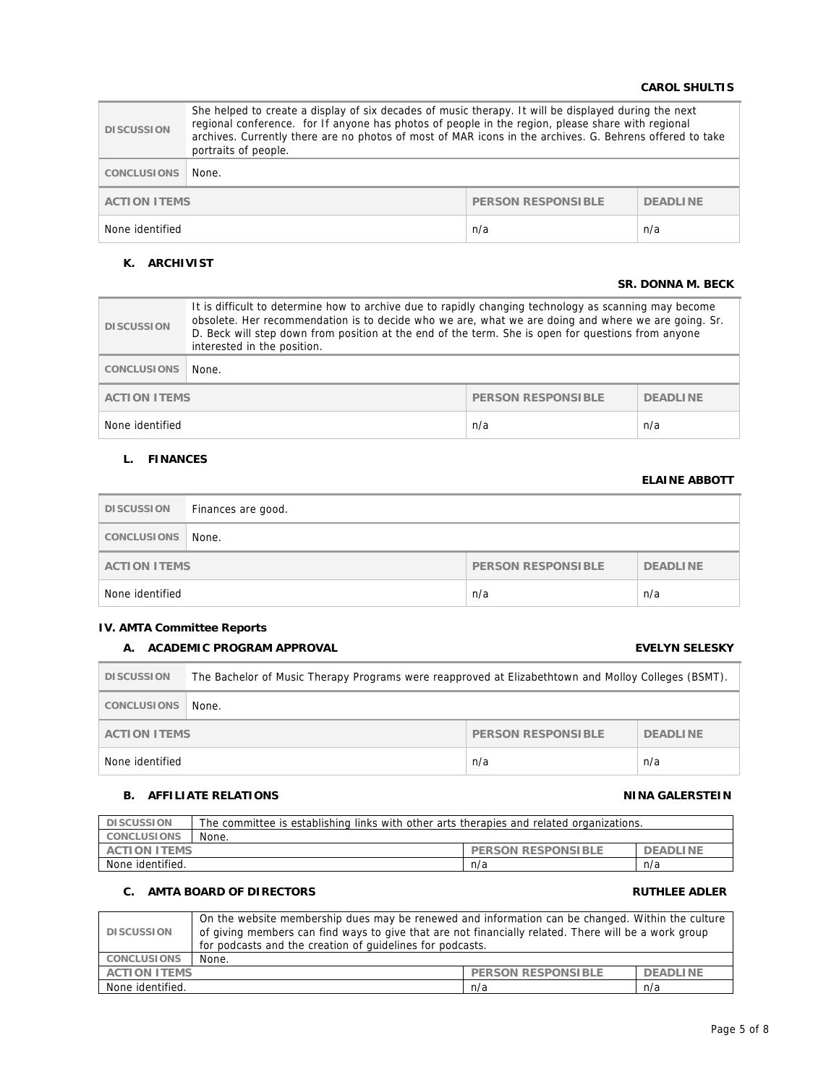## **CAROL SHULTIS**

| <b>DISCUSSION</b>                                            | She helped to create a display of six decades of music therapy. It will be displayed during the next<br>regional conference. for If anyone has photos of people in the region, please share with regional<br>archives. Currently there are no photos of most of MAR icons in the archives. G. Behrens offered to take<br>portraits of people. |  |
|--------------------------------------------------------------|-----------------------------------------------------------------------------------------------------------------------------------------------------------------------------------------------------------------------------------------------------------------------------------------------------------------------------------------------|--|
| <b>CONCLUSIONS</b>                                           | None.                                                                                                                                                                                                                                                                                                                                         |  |
| PERSON RESPONSIBLE<br><b>ACTION ITEMS</b><br><b>DEADLINE</b> |                                                                                                                                                                                                                                                                                                                                               |  |
| n/a<br>n/a<br>None identified                                |                                                                                                                                                                                                                                                                                                                                               |  |

## **K. ARCHIVIST**

## **SR. DONNA M. BECK**

| <b>DISCUSSION</b>                                                   | It is difficult to determine how to archive due to rapidly changing technology as scanning may become<br>obsolete. Her recommendation is to decide who we are, what we are doing and where we are going. Sr.<br>D. Beck will step down from position at the end of the term. She is open for questions from anyone<br>interested in the position. |     |     |
|---------------------------------------------------------------------|---------------------------------------------------------------------------------------------------------------------------------------------------------------------------------------------------------------------------------------------------------------------------------------------------------------------------------------------------|-----|-----|
| <b>CONCLUSIONS</b>                                                  | None.                                                                                                                                                                                                                                                                                                                                             |     |     |
| <b>PERSON RESPONSIBLE</b><br><b>ACTION ITEMS</b><br><b>DEADLINE</b> |                                                                                                                                                                                                                                                                                                                                                   |     |     |
| None identified                                                     |                                                                                                                                                                                                                                                                                                                                                   | n/a | n/a |

## **L. FINANCES**

## **ELAINE ABBOTT**

| <b>DISCUSSION</b>                                            | Finances are good. |     |     |
|--------------------------------------------------------------|--------------------|-----|-----|
| CONCLUSIONS                                                  | None.              |     |     |
| PERSON RESPONSIBLE<br><b>DEADLINE</b><br><b>ACTION ITEMS</b> |                    |     |     |
| None identified                                              |                    | n/a | n/a |

## **IV. AMTA Committee Reports**

## **A. ACADEMIC PROGRAM APPROVAL EVELYN SELESKY**

| <b>DISCUSSION</b>                                                   | The Bachelor of Music Therapy Programs were reapproved at Elizabethtown and Molloy Colleges (BSMT). |     |     |
|---------------------------------------------------------------------|-----------------------------------------------------------------------------------------------------|-----|-----|
| CONCLUSIONS                                                         | None.                                                                                               |     |     |
| <b>PERSON RESPONSIBLE</b><br><b>DEADLINE</b><br><b>ACTION ITEMS</b> |                                                                                                     |     |     |
| None identified                                                     |                                                                                                     | n/a | n/a |

## **B.** AFFILIATE RELATIONS **NINA GALERSTEIN**

## **DISCUSSION** The committee is establishing links with other arts therapies and related organizations. **CONCLUSIONS None.**<br>**ACTION ITEMS PERSON RESPONSIBLE DEADLINE** None identified.  $n/a$  n/a n/a

## **C.** AMTA BOARD OF DIRECTORS **RUTHLEE ADLER**

| <b>DISCUSSION</b>              | On the website membership dues may be renewed and information can be changed. Within the culture<br>of giving members can find ways to give that are not financially related. There will be a work group<br>for podcasts and the creation of quidelines for podcasts. |                           |                 |
|--------------------------------|-----------------------------------------------------------------------------------------------------------------------------------------------------------------------------------------------------------------------------------------------------------------------|---------------------------|-----------------|
| <b>CONCLUSIONS</b>             | None.                                                                                                                                                                                                                                                                 |                           |                 |
| <b>ACTION ITEMS</b>            |                                                                                                                                                                                                                                                                       | <b>PERSON RESPONSIBLE</b> | <b>DEADLINE</b> |
| None identified.<br>n/a<br>n/a |                                                                                                                                                                                                                                                                       |                           |                 |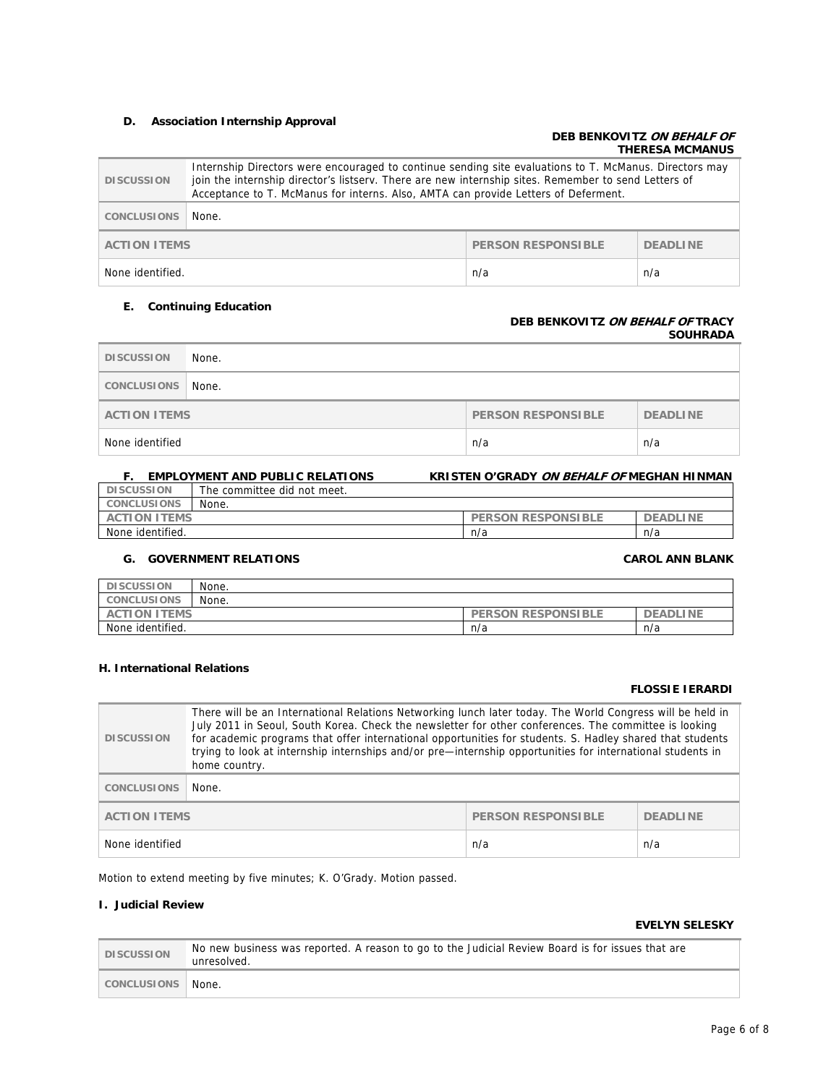## **D. Association Internship Approval**

## **DEB BENKOVITZ ON BEHALF OF THERESA MCMANUS**

| <b>DISCUSSION</b>   | Internship Directors were encouraged to continue sending site evaluations to T. McManus. Directors may<br>join the internship director's listserv. There are new internship sites. Remember to send Letters of<br>Acceptance to T. McManus for interns. Also, AMTA can provide Letters of Deferment. |                    |                 |
|---------------------|------------------------------------------------------------------------------------------------------------------------------------------------------------------------------------------------------------------------------------------------------------------------------------------------------|--------------------|-----------------|
| <b>CONCLUSIONS</b>  | None.                                                                                                                                                                                                                                                                                                |                    |                 |
| <b>ACTION ITEMS</b> |                                                                                                                                                                                                                                                                                                      | PERSON RESPONSIBLE | <b>DEADLINE</b> |
| None identified.    |                                                                                                                                                                                                                                                                                                      | n/a                | n/a             |

### **E. Continuing Education**

### **DEB BENKOVITZ ON BEHALF OF TRACY SOUHRADA**

| <b>DISCUSSION</b>                                                   | None. |     |     |
|---------------------------------------------------------------------|-------|-----|-----|
| CONCLUSIONS                                                         | None. |     |     |
| <b>PERSON RESPONSIBLE</b><br><b>DEADLINE</b><br><b>ACTION ITEMS</b> |       |     |     |
| None identified                                                     |       | n/a | n/a |

## **F. EMPLOYMENT AND PUBLIC RELATIONS KRISTEN O'GRADY ON BEHALF OF MEGHAN HINMAN DISCUSSION** The committee did not meet.

| <b>CONCLUSIONS</b>       | None. |                                                         |                                    |
|--------------------------|-------|---------------------------------------------------------|------------------------------------|
| <b>ITEMS</b><br>AC<br>ΩN |       | <b>ESPONSIBLE</b><br><b>RF</b><br>DE<br>ON<br><b>DS</b> | <b>INE</b><br>DE<br>וח<br>$\cdots$ |
| identified.<br>None      |       | n/a                                                     | n/a                                |

## **G. GOVERNMENT RELATIONS CAROL ANN BLANK**

## **DISCUSSION** None. **CONCLUSIONS** None. **ACTION ITEMS PERSON RESPONSIBLE DEADLINE** None identified. 
<br>
n/a n/a n/a

## **H. International Relations**

## **FLOSSIE IERARDI**

| <b>DISCUSSION</b>                                | There will be an International Relations Networking lunch later today. The World Congress will be held in<br>July 2011 in Seoul, South Korea. Check the newsletter for other conferences. The committee is looking<br>for academic programs that offer international opportunities for students. S. Hadley shared that students<br>trying to look at internship internships and/or pre-internship opportunities for international students in<br>home country. |                 |     |
|--------------------------------------------------|----------------------------------------------------------------------------------------------------------------------------------------------------------------------------------------------------------------------------------------------------------------------------------------------------------------------------------------------------------------------------------------------------------------------------------------------------------------|-----------------|-----|
| <b>CONCLUSIONS</b>                               | None.                                                                                                                                                                                                                                                                                                                                                                                                                                                          |                 |     |
| <b>PERSON RESPONSIBLE</b><br><b>ACTION ITEMS</b> |                                                                                                                                                                                                                                                                                                                                                                                                                                                                | <b>DEADLINE</b> |     |
| None identified                                  |                                                                                                                                                                                                                                                                                                                                                                                                                                                                | n/a             | n/a |

Motion to extend meeting by five minutes; K. O'Grady. Motion passed.

## **I. Judicial Review**

## **EVELYN SELESKY**

| <b>DISCUSSION</b> | No new business was reported. A reason to go to the Judicial Review Board is for issues that are<br>unresolved. |
|-------------------|-----------------------------------------------------------------------------------------------------------------|
| CONCLUSIONS       | ™ None.                                                                                                         |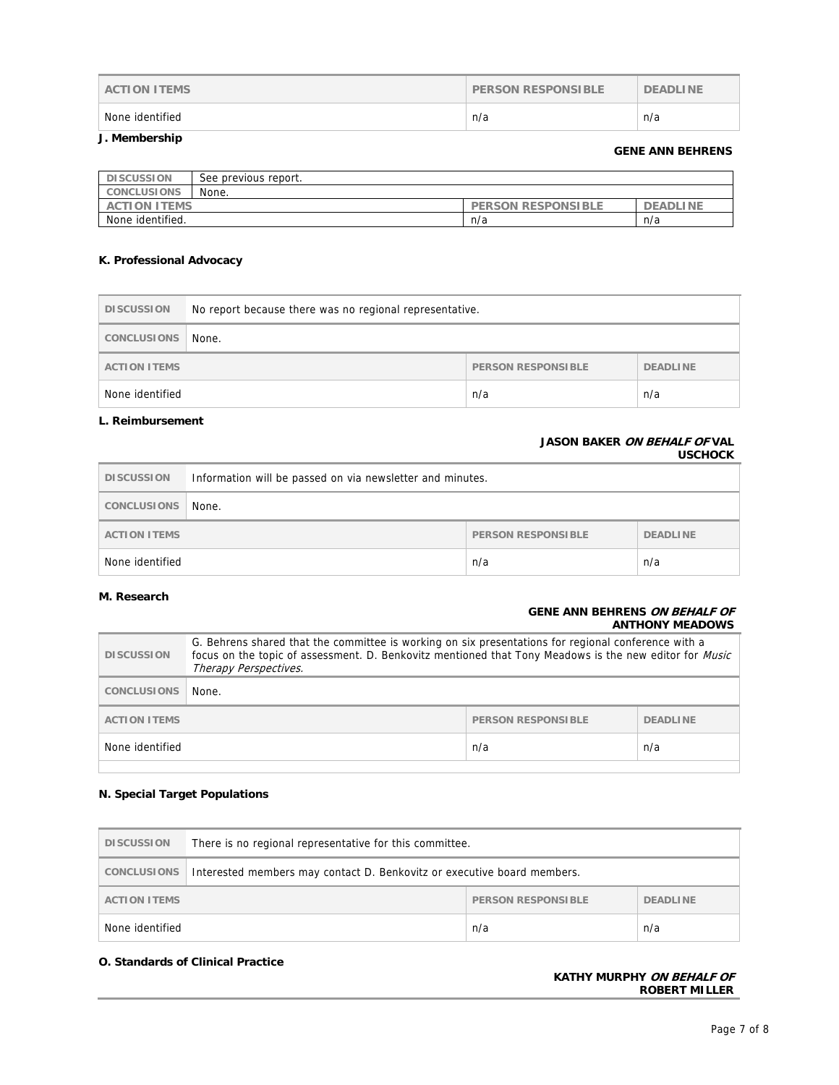| <b>ACTION ITEMS</b> | <b>PERSON RESPONSIBLE</b> | <b>DEADLINE</b> |
|---------------------|---------------------------|-----------------|
| None identified     | n/a                       | n/a             |

## **J. Membership**

## **GENE ANN BEHRENS**

| <b>DISCUSSION</b>   | See previous report. |                           |                 |
|---------------------|----------------------|---------------------------|-----------------|
| <b>CONCLUSIONS</b>  | None.                |                           |                 |
| <b>ACTION ITEMS</b> |                      | <b>PERSON RESPONSIBLE</b> | <b>DEADLINE</b> |
| None identified.    |                      | n/a                       | n/a             |

## **K. Professional Advocacy**

| <b>DISCUSSION</b>   | No report because there was no regional representative. |                    |                 |
|---------------------|---------------------------------------------------------|--------------------|-----------------|
| CONCLUSIONS         | None.                                                   |                    |                 |
| <b>ACTION ITEMS</b> |                                                         | PERSON RESPONSIBLE | <b>DEADLINE</b> |
| None identified     |                                                         | n/a                | n/a             |

## **L. Reimbursement**

## **JASON BAKER ON BEHALF OF VAL USCHOCK**

| <b>DISCUSSION</b>   | Information will be passed on via newsletter and minutes. |                    |                 |
|---------------------|-----------------------------------------------------------|--------------------|-----------------|
| <b>CONCLUSIONS</b>  | None.                                                     |                    |                 |
| <b>ACTION ITEMS</b> |                                                           | PERSON RESPONSIBLE | <b>DEADLINE</b> |
| None identified     |                                                           | n/a                | n/a             |

## **M. Research**

## **GENE ANN BEHRENS ON BEHALF OF ANTHONY MEADOWS**

| <b>DISCUSSION</b>   | G. Behrens shared that the committee is working on six presentations for regional conference with a<br>focus on the topic of assessment. D. Benkovitz mentioned that Tony Meadows is the new editor for <i>Music</i><br>Therapy Perspectives. |                           |                 |
|---------------------|-----------------------------------------------------------------------------------------------------------------------------------------------------------------------------------------------------------------------------------------------|---------------------------|-----------------|
| <b>CONCLUSIONS</b>  | None.                                                                                                                                                                                                                                         |                           |                 |
| <b>ACTION ITEMS</b> |                                                                                                                                                                                                                                               | <b>PERSON RESPONSIBLE</b> | <b>DEADLINE</b> |
| None identified     |                                                                                                                                                                                                                                               | n/a                       | n/a             |
|                     |                                                                                                                                                                                                                                               |                           |                 |

## **N. Special Target Populations**

| <b>DISCUSSION</b>   | There is no regional representative for this committee.                 |                           |                 |
|---------------------|-------------------------------------------------------------------------|---------------------------|-----------------|
| CONCLUSIONS         | Interested members may contact D. Benkovitz or executive board members. |                           |                 |
| <b>ACTION ITEMS</b> |                                                                         | <b>PERSON RESPONSIBLE</b> | <b>DEADLINE</b> |
| None identified     |                                                                         | n/a                       | n/a             |

## **O. Standards of Clinical Practice**

## **KATHY MURPHY ON BEHALF OF ROBERT MILLER**